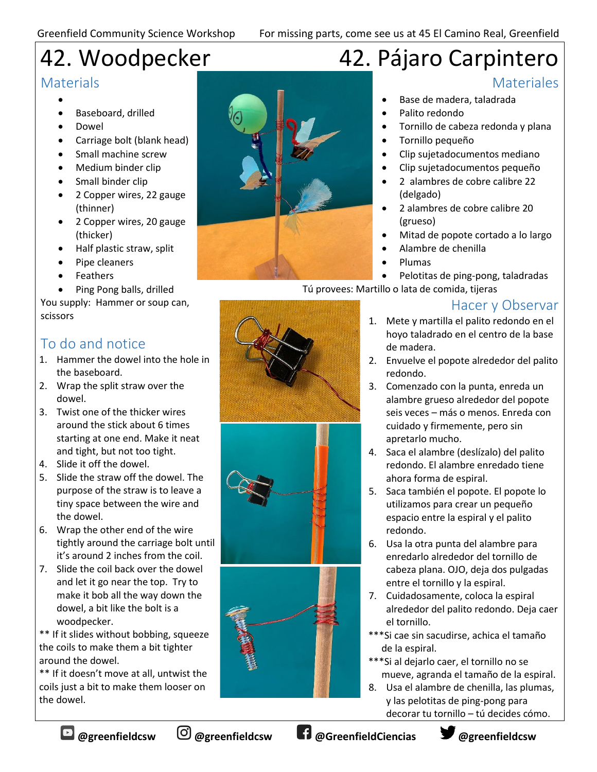# 42. Woodpecker

## **Materials**

- •
- Baseboard, drilled
- Dowel
- Carriage bolt (blank head)
- Small machine screw
- Medium binder clip
- Small binder clip
- 2 Copper wires, 22 gauge (thinner)
- 2 Copper wires, 20 gauge (thicker)
- Half plastic straw, split
- Pipe cleaners
- Feathers
- Ping Pong balls, drilled

You supply: Hammer or soup can, scissors

## To do and notice

- 1. Hammer the dowel into the hole in the baseboard.
- 2. Wrap the split straw over the dowel.
- 3. Twist one of the thicker wires around the stick about 6 times starting at one end. Make it neat and tight, but not too tight.
- 4. Slide it off the dowel.
- 5. Slide the straw off the dowel. The purpose of the straw is to leave a tiny space between the wire and the dowel.
- 6. Wrap the other end of the wire tightly around the carriage bolt until it's around 2 inches from the coil.
- 7. Slide the coil back over the dowel and let it go near the top. Try to make it bob all the way down the dowel, a bit like the bolt is a woodpecker.

\*\* If it slides without bobbing, squeeze the coils to make them a bit tighter around the dowel.

\*\* If it doesn't move at all, untwist the coils just a bit to make them looser on the dowel.



# 42. Pájaro Carpintero

## **Materiales**

- Base de madera, taladrada
- Palito redondo
- Tornillo de cabeza redonda y plana
- Tornillo pequeño
- Clip sujetadocumentos mediano
- Clip sujetadocumentos pequeño
- 2 alambres de cobre calibre 22 (delgado)
- 2 alambres de cobre calibre 20 (grueso)
- Mitad de popote cortado a lo largo
- Alambre de chenilla
- Plumas
- Pelotitas de ping-pong, taladradas

Tú provees: Martillo o lata de comida, tijeras

## Hacer y Observar

- 1. Mete y martilla el palito redondo en el hoyo taladrado en el centro de la base de madera.
- 2. Envuelve el popote alrededor del palito redondo.
- 3. Comenzado con la punta, enreda un alambre grueso alrededor del popote seis veces – más o menos. Enreda con cuidado y firmemente, pero sin apretarlo mucho.
- 4. Saca el alambre (deslízalo) del palito redondo. El alambre enredado tiene ahora forma de espiral.
- 5. Saca también el popote. El popote lo utilizamos para crear un pequeño espacio entre la espiral y el palito redondo.
- 6. Usa la otra punta del alambre para enredarlo alrededor del tornillo de cabeza plana. OJO, deja dos pulgadas entre el tornillo y la espiral.
- 7. Cuidadosamente, coloca la espiral alrededor del palito redondo. Deja caer el tornillo.
- \*\*\*Si cae sin sacudirse, achica el tamaño de la espiral.
- \*\*\*Si al dejarlo caer, el tornillo no se mueve, agranda el tamaño de la espiral.
- 8. Usa el alambre de chenilla, las plumas, y las pelotitas de ping-pong para decorar tu tornillo – tú decides cómo.